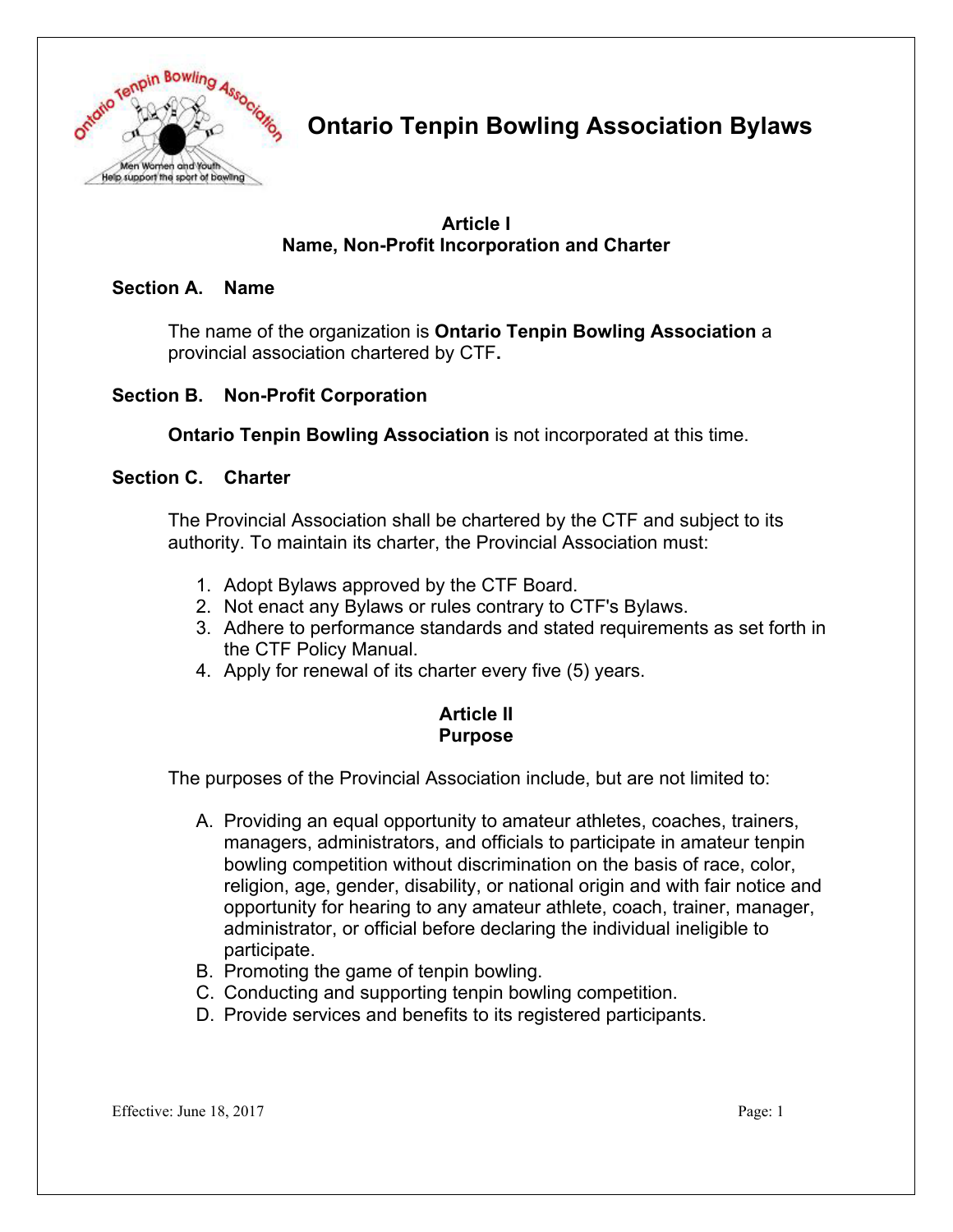

#### **Article I Name, Non-Profit Incorporation and Charter**

## **Section A. Name**

The name of the organization is **Ontario Tenpin Bowling Association** a provincial association chartered by CTF**.** 

#### **Section B. Non-Profit Corporation**

**Ontario Tenpin Bowling Association** is not incorporated at this time.

#### **Section C. Charter**

The Provincial Association shall be chartered by the CTF and subject to its authority. To maintain its charter, the Provincial Association must:

- 1. Adopt Bylaws approved by the CTF Board.
- 2. Not enact any Bylaws or rules contrary to CTF's Bylaws.
- 3. Adhere to performance standards and stated requirements as set forth in the CTF Policy Manual.
- 4. Apply for renewal of its charter every five (5) years.

#### **Article II Purpose**

The purposes of the Provincial Association include, but are not limited to:

- A. Providing an equal opportunity to amateur athletes, coaches, trainers, managers, administrators, and officials to participate in amateur tenpin bowling competition without discrimination on the basis of race, color, religion, age, gender, disability, or national origin and with fair notice and opportunity for hearing to any amateur athlete, coach, trainer, manager, administrator, or official before declaring the individual ineligible to participate.
- B. Promoting the game of tenpin bowling.
- C. Conducting and supporting tenpin bowling competition.
- D. Provide services and benefits to its registered participants.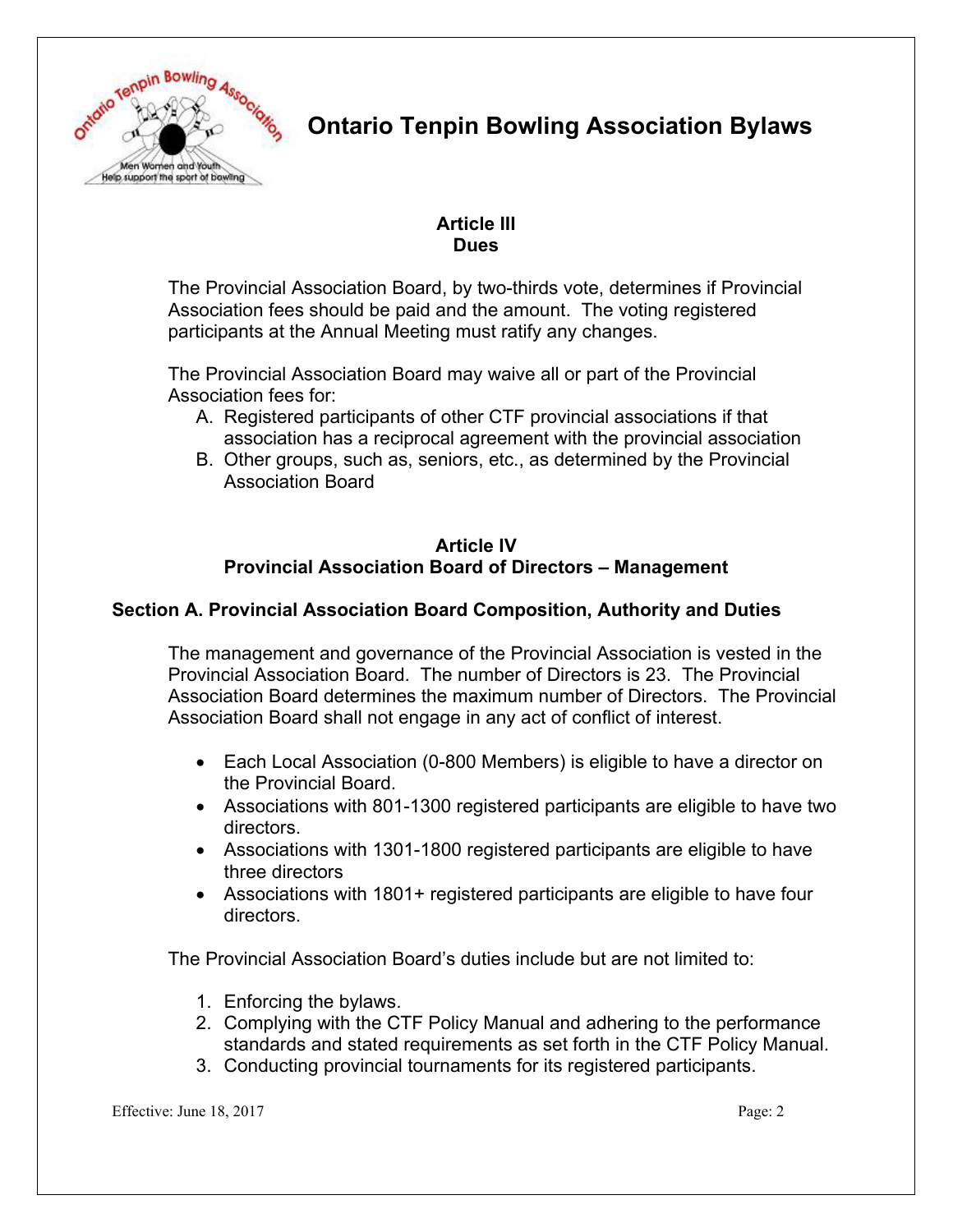

## **Article III Dues**

The Provincial Association Board, by two-thirds vote, determines if Provincial Association fees should be paid and the amount. The voting registered participants at the Annual Meeting must ratify any changes.

The Provincial Association Board may waive all or part of the Provincial Association fees for:

- A. Registered participants of other CTF provincial associations if that association has a reciprocal agreement with the provincial association
- B. Other groups, such as, seniors, etc., as determined by the Provincial Association Board

#### **Article IV Provincial Association Board of Directors – Management**

## **Section A. Provincial Association Board Composition, Authority and Duties**

The management and governance of the Provincial Association is vested in the Provincial Association Board. The number of Directors is 23. The Provincial Association Board determines the maximum number of Directors. The Provincial Association Board shall not engage in any act of conflict of interest.

- Each Local Association (0-800 Members) is eligible to have a director on the Provincial Board.
- Associations with 801-1300 registered participants are eligible to have two directors.
- Associations with 1301-1800 registered participants are eligible to have three directors
- Associations with 1801+ registered participants are eligible to have four directors.

The Provincial Association Board's duties include but are not limited to:

- 1. Enforcing the bylaws.
- 2. Complying with the CTF Policy Manual and adhering to the performance standards and stated requirements as set forth in the CTF Policy Manual.
- 3. Conducting provincial tournaments for its registered participants.

Effective: June 18, 2017 Page: 2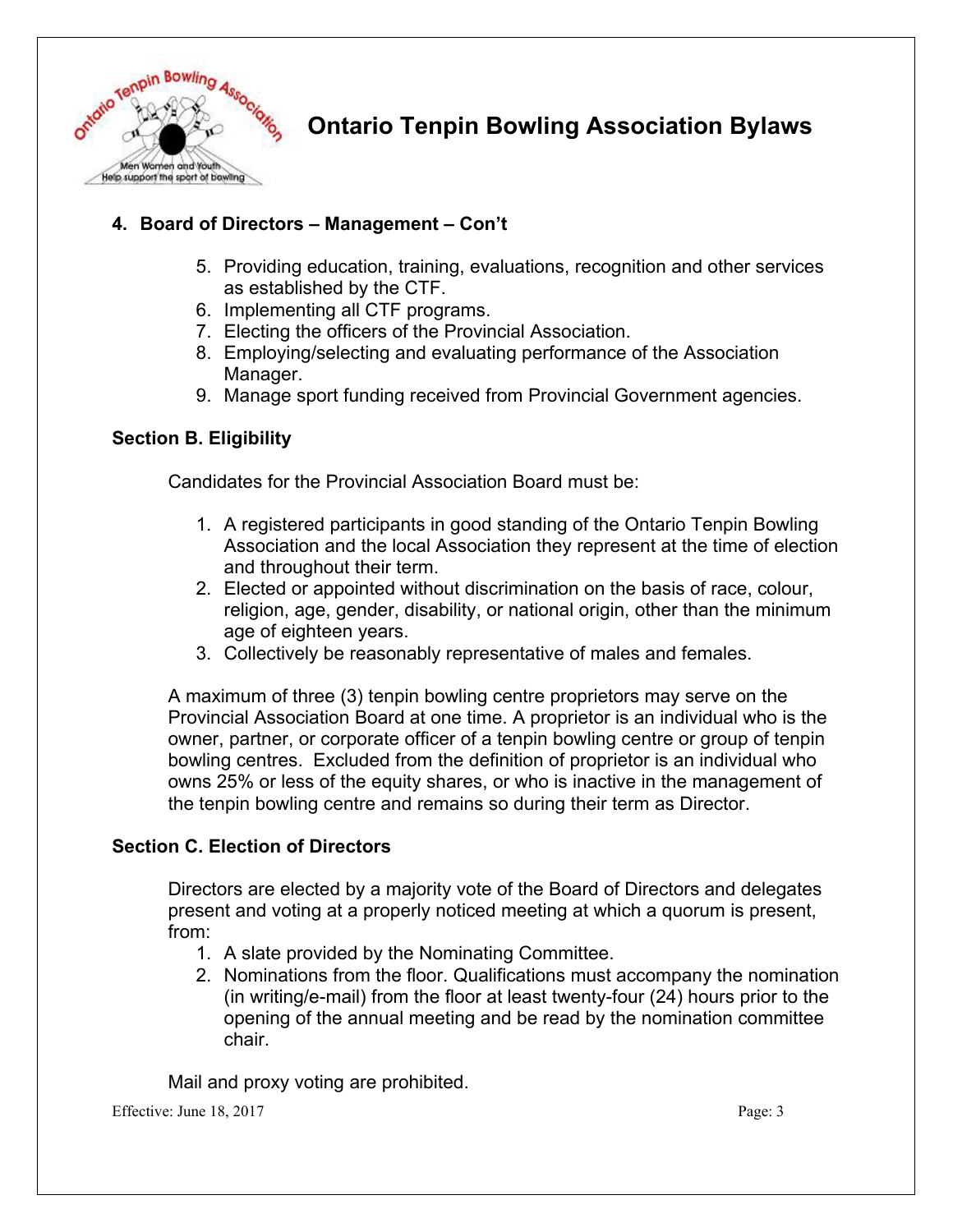

## **4. Board of Directors – Management – Con't**

- 5. Providing education, training, evaluations, recognition and other services as established by the CTF.
- 6. Implementing all CTF programs.
- 7. Electing the officers of the Provincial Association.
- 8. Employing/selecting and evaluating performance of the Association Manager.
- 9. Manage sport funding received from Provincial Government agencies.

## **Section B. Eligibility**

Candidates for the Provincial Association Board must be:

- 1. A registered participants in good standing of the Ontario Tenpin Bowling Association and the local Association they represent at the time of election and throughout their term.
- 2. Elected or appointed without discrimination on the basis of race, colour, religion, age, gender, disability, or national origin, other than the minimum age of eighteen years.
- 3. Collectively be reasonably representative of males and females.

A maximum of three (3) tenpin bowling centre proprietors may serve on the Provincial Association Board at one time. A proprietor is an individual who is the owner, partner, or corporate officer of a tenpin bowling centre or group of tenpin bowling centres. Excluded from the definition of proprietor is an individual who owns 25% or less of the equity shares, or who is inactive in the management of the tenpin bowling centre and remains so during their term as Director.

#### **Section C. Election of Directors**

Directors are elected by a majority vote of the Board of Directors and delegates present and voting at a properly noticed meeting at which a quorum is present, from:

- 1. A slate provided by the Nominating Committee.
- 2. Nominations from the floor. Qualifications must accompany the nomination (in writing/e-mail) from the floor at least twenty-four (24) hours prior to the opening of the annual meeting and be read by the nomination committee chair.

Mail and proxy voting are prohibited.

Effective: June 18, 2017 Page: 3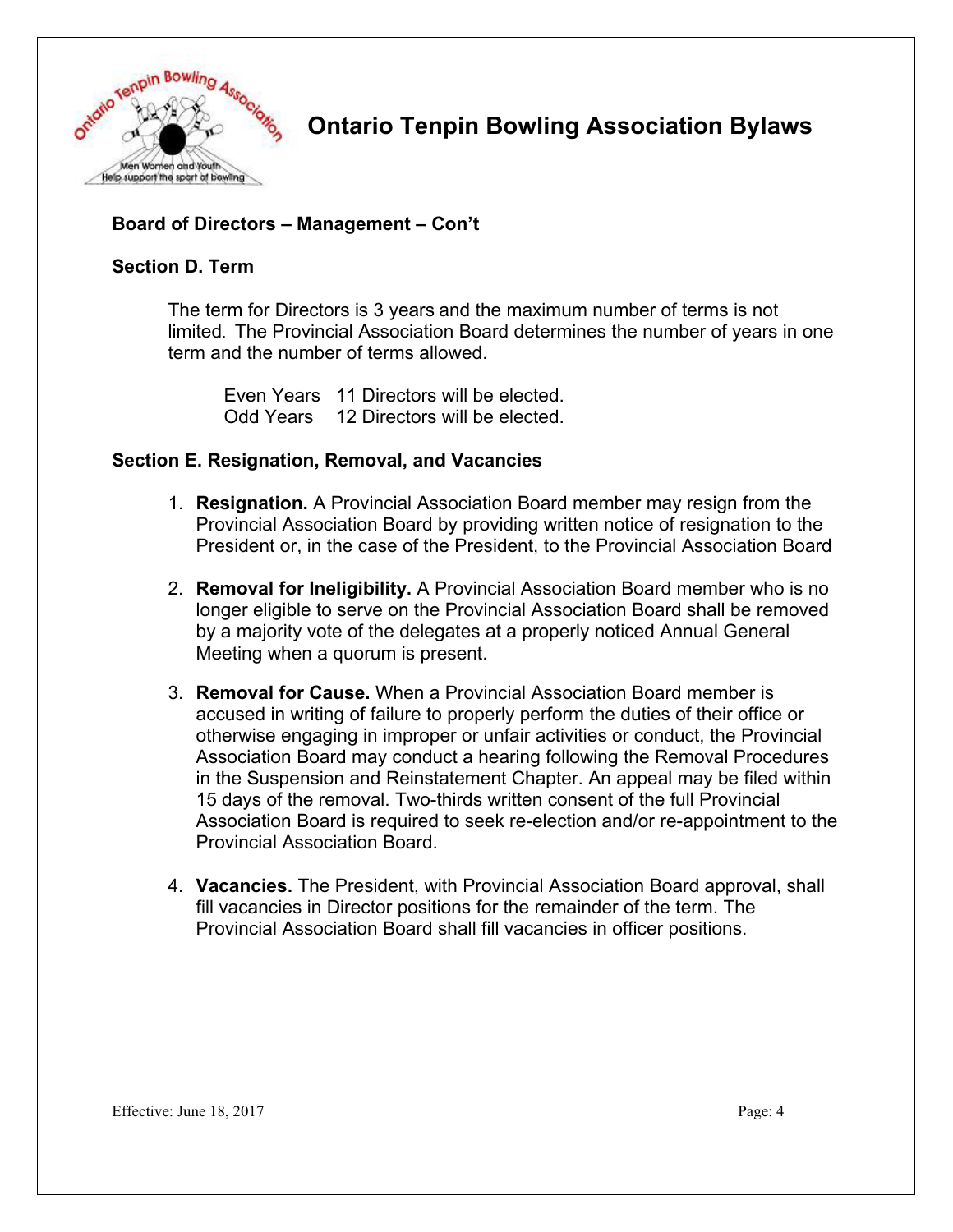

## **Board of Directors – Management – Con't**

#### **Section D. Term**

The term for Directors is 3 years and the maximum number of terms is not limited. The Provincial Association Board determines the number of years in one term and the number of terms allowed.

Even Years 11 Directors will be elected. Odd Years 12 Directors will be elected.

#### **Section E. Resignation, Removal, and Vacancies**

- 1. **Resignation.** A Provincial Association Board member may resign from the Provincial Association Board by providing written notice of resignation to the President or, in the case of the President, to the Provincial Association Board
- 2. **Removal for Ineligibility.** A Provincial Association Board member who is no longer eligible to serve on the Provincial Association Board shall be removed by a majority vote of the delegates at a properly noticed Annual General Meeting when a quorum is present.
- 3. **Removal for Cause.** When a Provincial Association Board member is accused in writing of failure to properly perform the duties of their office or otherwise engaging in improper or unfair activities or conduct, the Provincial Association Board may conduct a hearing following the Removal Procedures in the Suspension and Reinstatement Chapter. An appeal may be filed within 15 days of the removal. Two-thirds written consent of the full Provincial Association Board is required to seek re-election and/or re-appointment to the Provincial Association Board.
- 4. **Vacancies.** The President, with Provincial Association Board approval, shall fill vacancies in Director positions for the remainder of the term. The Provincial Association Board shall fill vacancies in officer positions.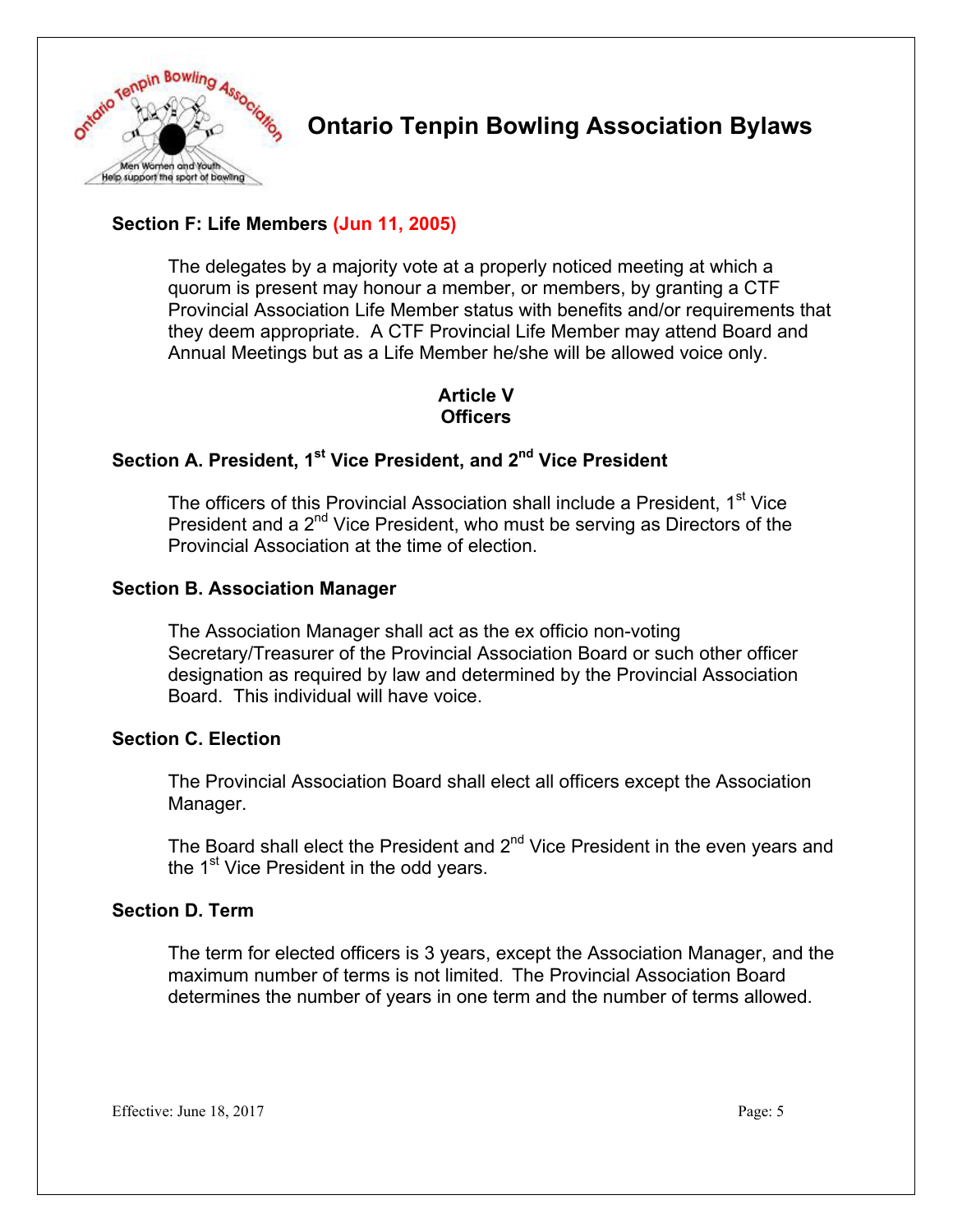

## **Section F: Life Members (Jun 11, 2005)**

The delegates by a majority vote at a properly noticed meeting at which a quorum is present may honour a member, or members, by granting a CTF Provincial Association Life Member status with benefits and/or requirements that they deem appropriate. A CTF Provincial Life Member may attend Board and Annual Meetings but as a Life Member he/she will be allowed voice only.

### **Article V Officers**

## **Section A. President, 1st Vice President, and 2nd Vice President**

The officers of this Provincial Association shall include a President, 1<sup>st</sup> Vice President and a 2<sup>nd</sup> Vice President, who must be serving as Directors of the Provincial Association at the time of election.

#### **Section B. Association Manager**

The Association Manager shall act as the ex officio non-voting Secretary/Treasurer of the Provincial Association Board or such other officer designation as required by law and determined by the Provincial Association Board. This individual will have voice.

#### **Section C. Election**

The Provincial Association Board shall elect all officers except the Association Manager.

The Board shall elect the President and  $2<sup>nd</sup>$  Vice President in the even years and the 1<sup>st</sup> Vice President in the odd vears.

#### **Section D. Term**

The term for elected officers is 3 years, except the Association Manager, and the maximum number of terms is not limited. The Provincial Association Board determines the number of years in one term and the number of terms allowed.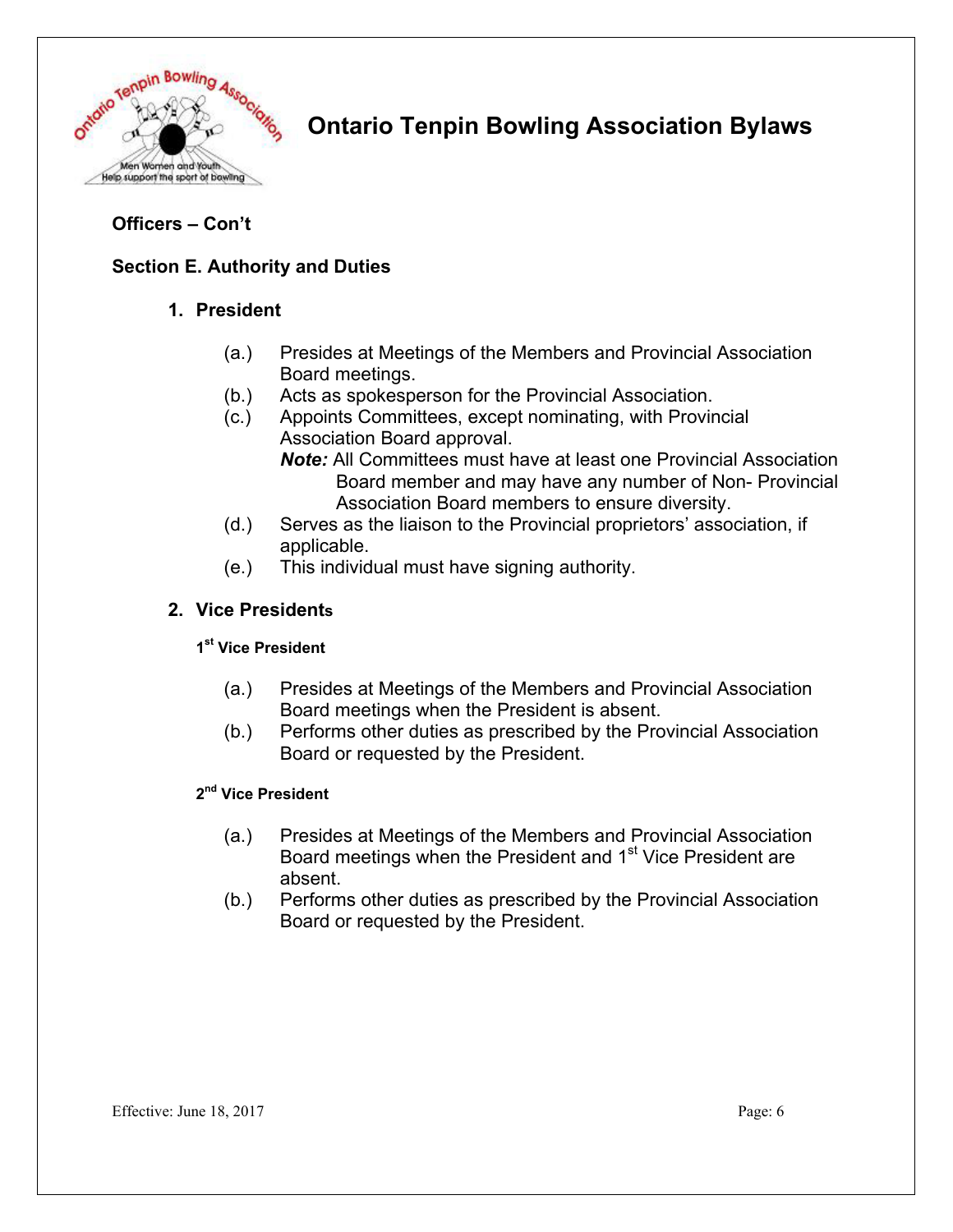

## **Officers – Con't**

## **Section E. Authority and Duties**

## **1. President**

- (a.) Presides at Meetings of the Members and Provincial Association Board meetings.
- (b.) Acts as spokesperson for the Provincial Association.
- (c.) Appoints Committees, except nominating, with Provincial Association Board approval.
	- *Note:* All Committees must have at least one Provincial Association Board member and may have any number of Non- Provincial Association Board members to ensure diversity.
- (d.) Serves as the liaison to the Provincial proprietors' association, if applicable.
- (e.) This individual must have signing authority.

## **2. Vice Presidents**

## **1st Vice President**

- (a.) Presides at Meetings of the Members and Provincial Association Board meetings when the President is absent.
- (b.) Performs other duties as prescribed by the Provincial Association Board or requested by the President.

## **2nd Vice President**

- (a.) Presides at Meetings of the Members and Provincial Association Board meetings when the President and 1<sup>st</sup> Vice President are absent.
- (b.) Performs other duties as prescribed by the Provincial Association Board or requested by the President.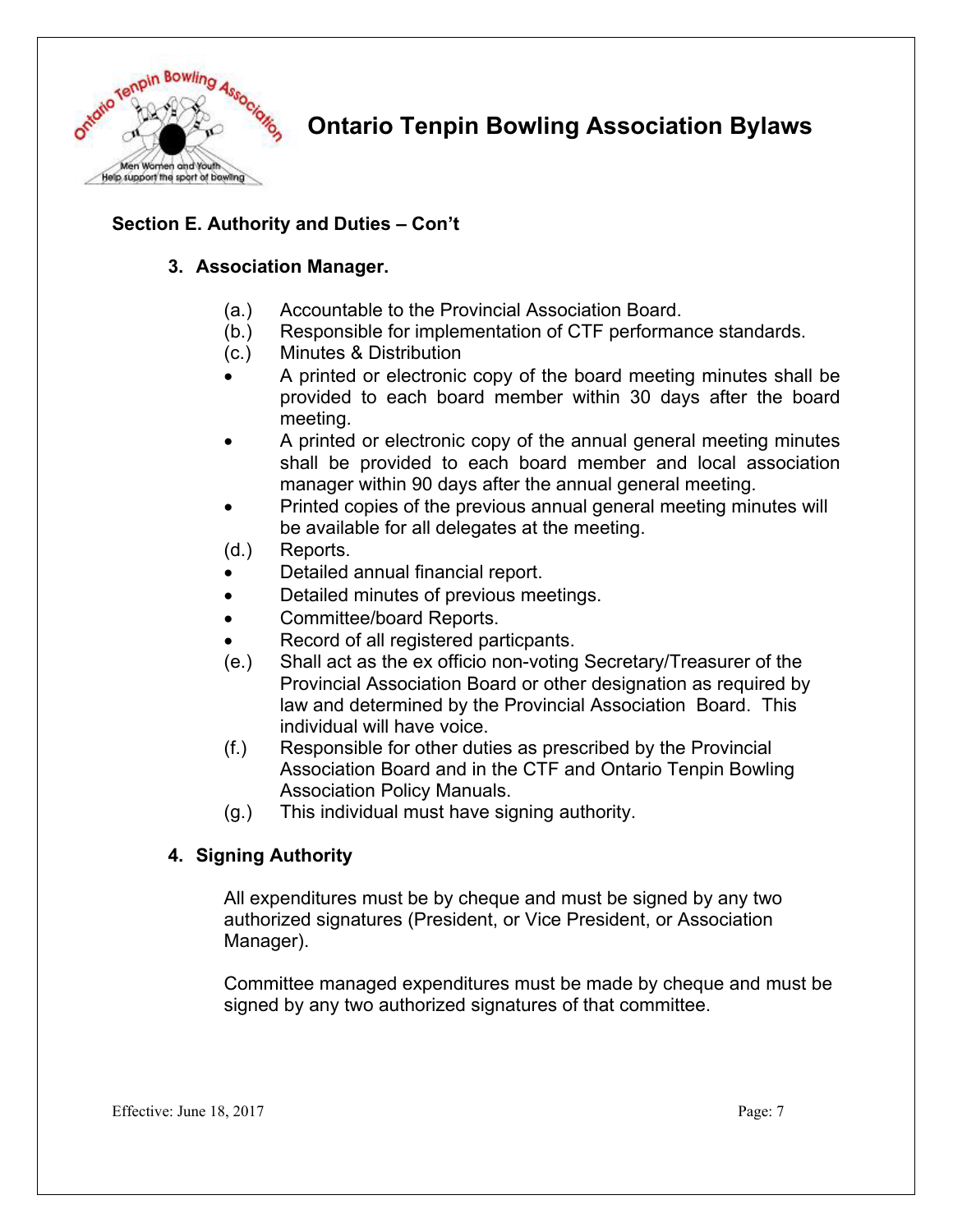

## **Section E. Authority and Duties – Con't**

#### **3. Association Manager.**

- (a.) Accountable to the Provincial Association Board.
- (b.) Responsible for implementation of CTF performance standards.
- (c.) Minutes & Distribution
- A printed or electronic copy of the board meeting minutes shall be provided to each board member within 30 days after the board meeting.
- A printed or electronic copy of the annual general meeting minutes shall be provided to each board member and local association manager within 90 days after the annual general meeting.
- Printed copies of the previous annual general meeting minutes will be available for all delegates at the meeting.
- (d.) Reports.
- Detailed annual financial report.
- Detailed minutes of previous meetings.
- Committee/board Reports.
- Record of all registered particpants.
- (e.) Shall act as the ex officio non-voting Secretary/Treasurer of the Provincial Association Board or other designation as required by law and determined by the Provincial Association Board. This individual will have voice.
- (f.) Responsible for other duties as prescribed by the Provincial Association Board and in the CTF and Ontario Tenpin Bowling Association Policy Manuals.
- (g.) This individual must have signing authority.

## **4. Signing Authority**

All expenditures must be by cheque and must be signed by any two authorized signatures (President, or Vice President, or Association Manager).

Committee managed expenditures must be made by cheque and must be signed by any two authorized signatures of that committee.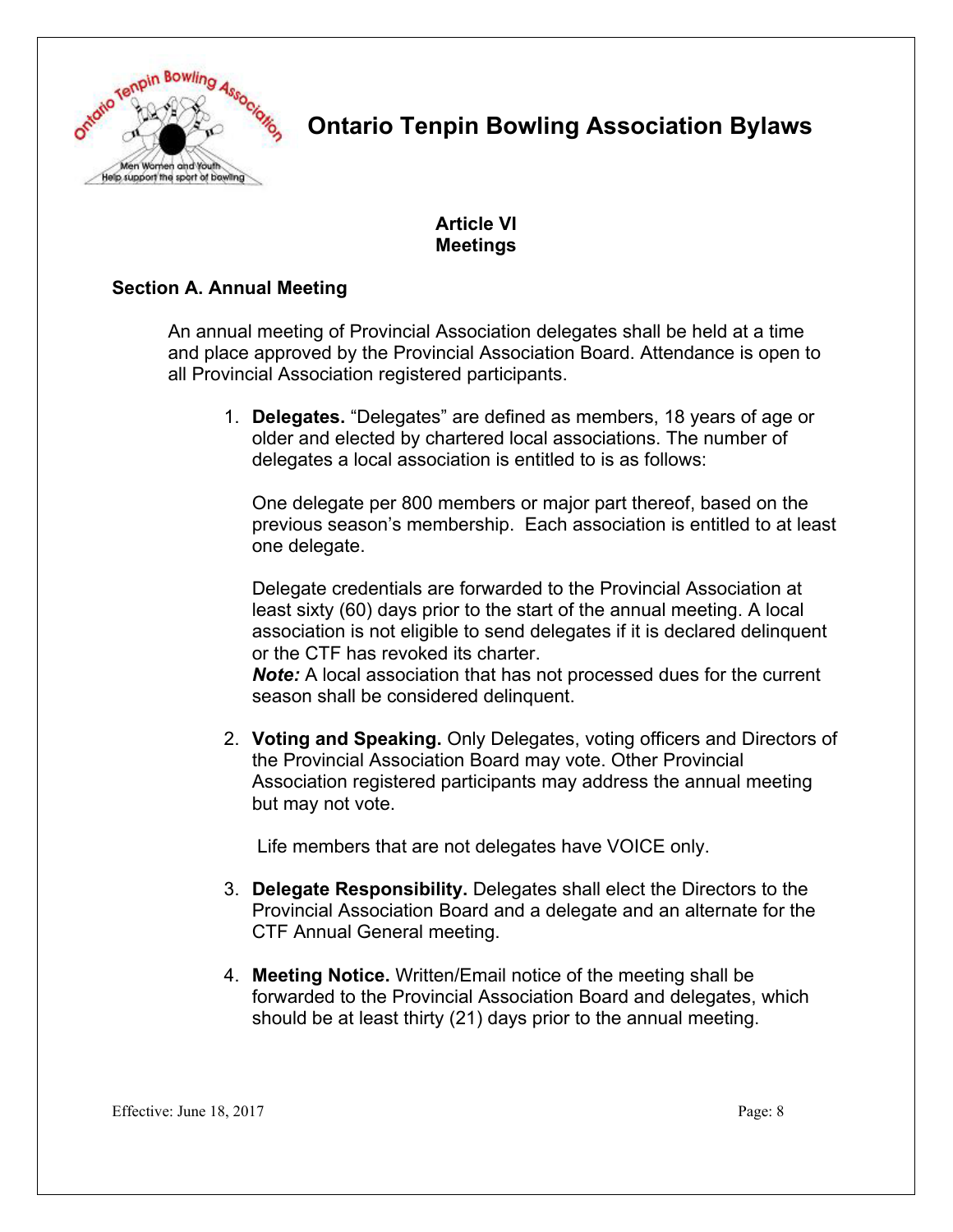

## **Article VI Meetings**

## **Section A. Annual Meeting**

An annual meeting of Provincial Association delegates shall be held at a time and place approved by the Provincial Association Board. Attendance is open to all Provincial Association registered participants.

1. **Delegates.** "Delegates" are defined as members, 18 years of age or older and elected by chartered local associations. The number of delegates a local association is entitled to is as follows:

One delegate per 800 members or major part thereof, based on the previous season's membership. Each association is entitled to at least one delegate.

Delegate credentials are forwarded to the Provincial Association at least sixty (60) days prior to the start of the annual meeting. A local association is not eligible to send delegates if it is declared delinquent or the CTF has revoked its charter.

*Note:* A local association that has not processed dues for the current season shall be considered delinquent.

2. **Voting and Speaking.** Only Delegates, voting officers and Directors of the Provincial Association Board may vote. Other Provincial Association registered participants may address the annual meeting but may not vote.

Life members that are not delegates have VOICE only.

- 3. **Delegate Responsibility.** Delegates shall elect the Directors to the Provincial Association Board and a delegate and an alternate for the CTF Annual General meeting.
- 4. **Meeting Notice.** Written/Email notice of the meeting shall be forwarded to the Provincial Association Board and delegates, which should be at least thirty (21) days prior to the annual meeting.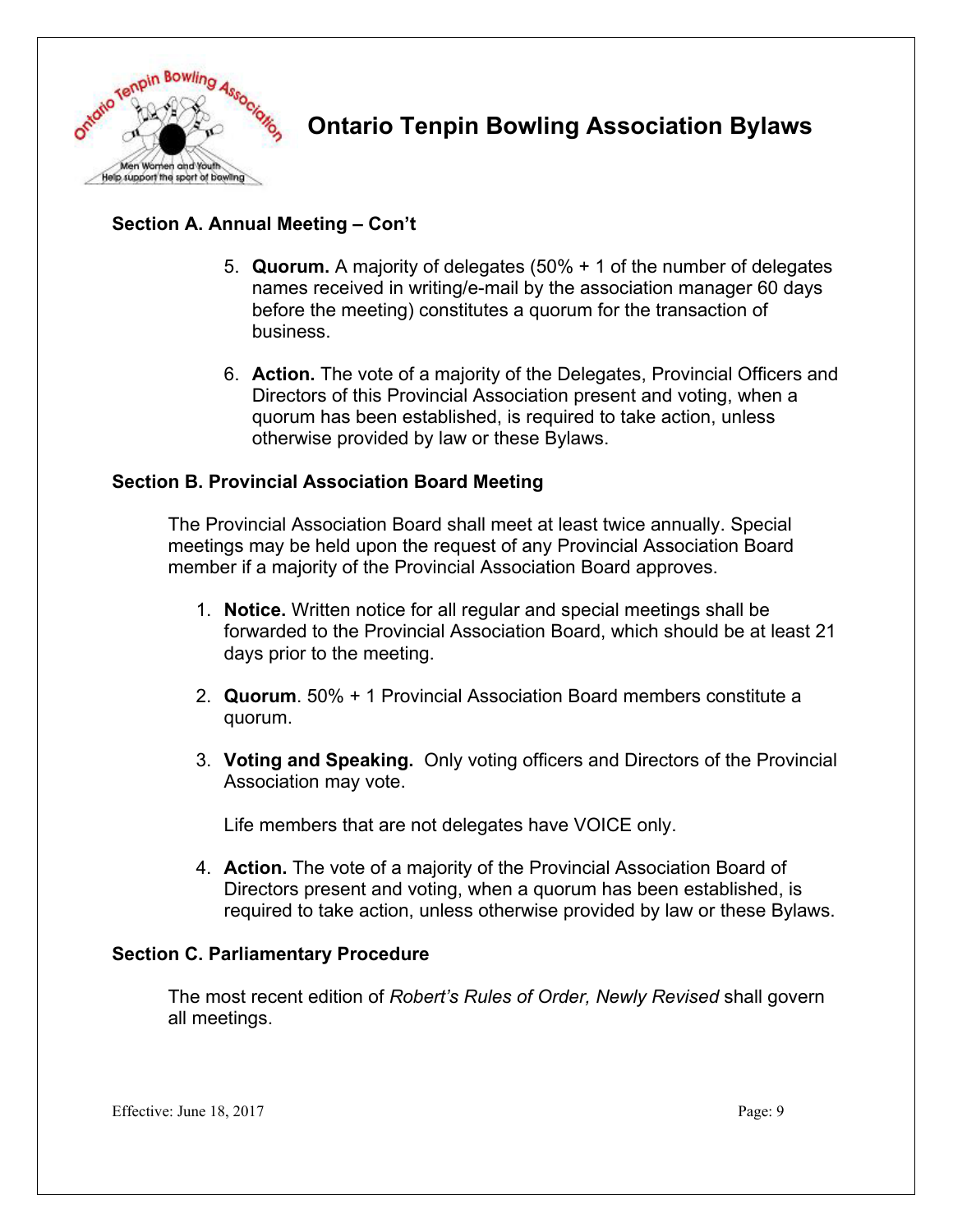

## **Section A. Annual Meeting – Con't**

- 5. **Quorum.** A majority of delegates (50% + 1 of the number of delegates names received in writing/e-mail by the association manager 60 days before the meeting) constitutes a quorum for the transaction of business.
- 6. **Action.** The vote of a majority of the Delegates, Provincial Officers and Directors of this Provincial Association present and voting, when a quorum has been established, is required to take action, unless otherwise provided by law or these Bylaws.

#### **Section B. Provincial Association Board Meeting**

The Provincial Association Board shall meet at least twice annually. Special meetings may be held upon the request of any Provincial Association Board member if a majority of the Provincial Association Board approves.

- 1. **Notice.** Written notice for all regular and special meetings shall be forwarded to the Provincial Association Board, which should be at least 21 days prior to the meeting.
- 2. **Quorum**. 50% + 1 Provincial Association Board members constitute a quorum.
- 3. **Voting and Speaking.** Only voting officers and Directors of the Provincial Association may vote.

Life members that are not delegates have VOICE only.

4. **Action.** The vote of a majority of the Provincial Association Board of Directors present and voting, when a quorum has been established, is required to take action, unless otherwise provided by law or these Bylaws.

#### **Section C. Parliamentary Procedure**

The most recent edition of *Robert's Rules of Order, Newly Revised* shall govern all meetings.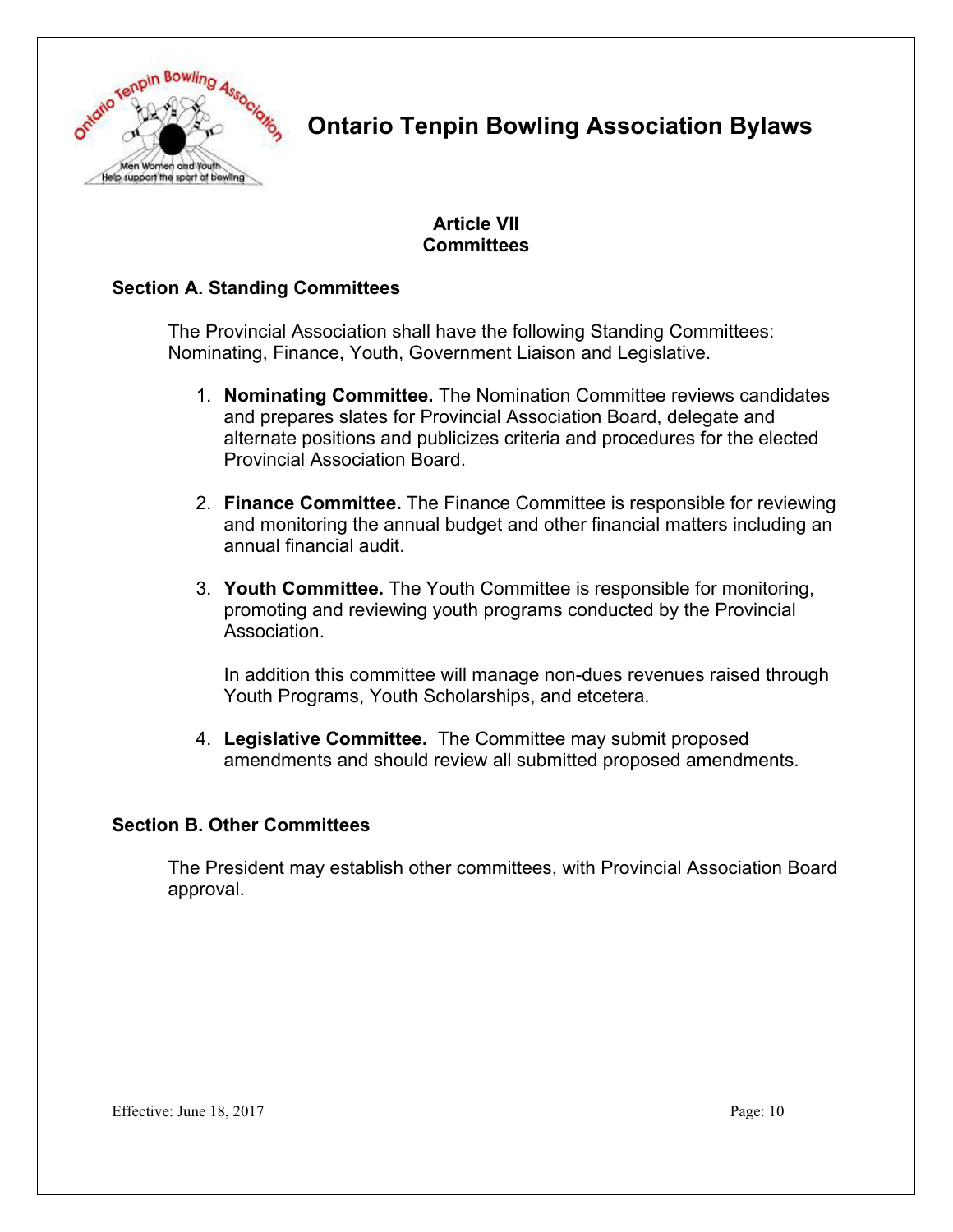

## **Article VII Committees**

### **Section A. Standing Committees**

The Provincial Association shall have the following Standing Committees: Nominating, Finance, Youth, Government Liaison and Legislative.

- 1. **Nominating Committee.** The Nomination Committee reviews candidates and prepares slates for Provincial Association Board, delegate and alternate positions and publicizes criteria and procedures for the elected Provincial Association Board.
- 2. **Finance Committee.** The Finance Committee is responsible for reviewing and monitoring the annual budget and other financial matters including an annual financial audit.
- 3. **Youth Committee.** The Youth Committee is responsible for monitoring, promoting and reviewing youth programs conducted by the Provincial Association.

In addition this committee will manage non-dues revenues raised through Youth Programs, Youth Scholarships, and etcetera.

4. **Legislative Committee.** The Committee may submit proposed amendments and should review all submitted proposed amendments.

#### **Section B. Other Committees**

The President may establish other committees, with Provincial Association Board approval.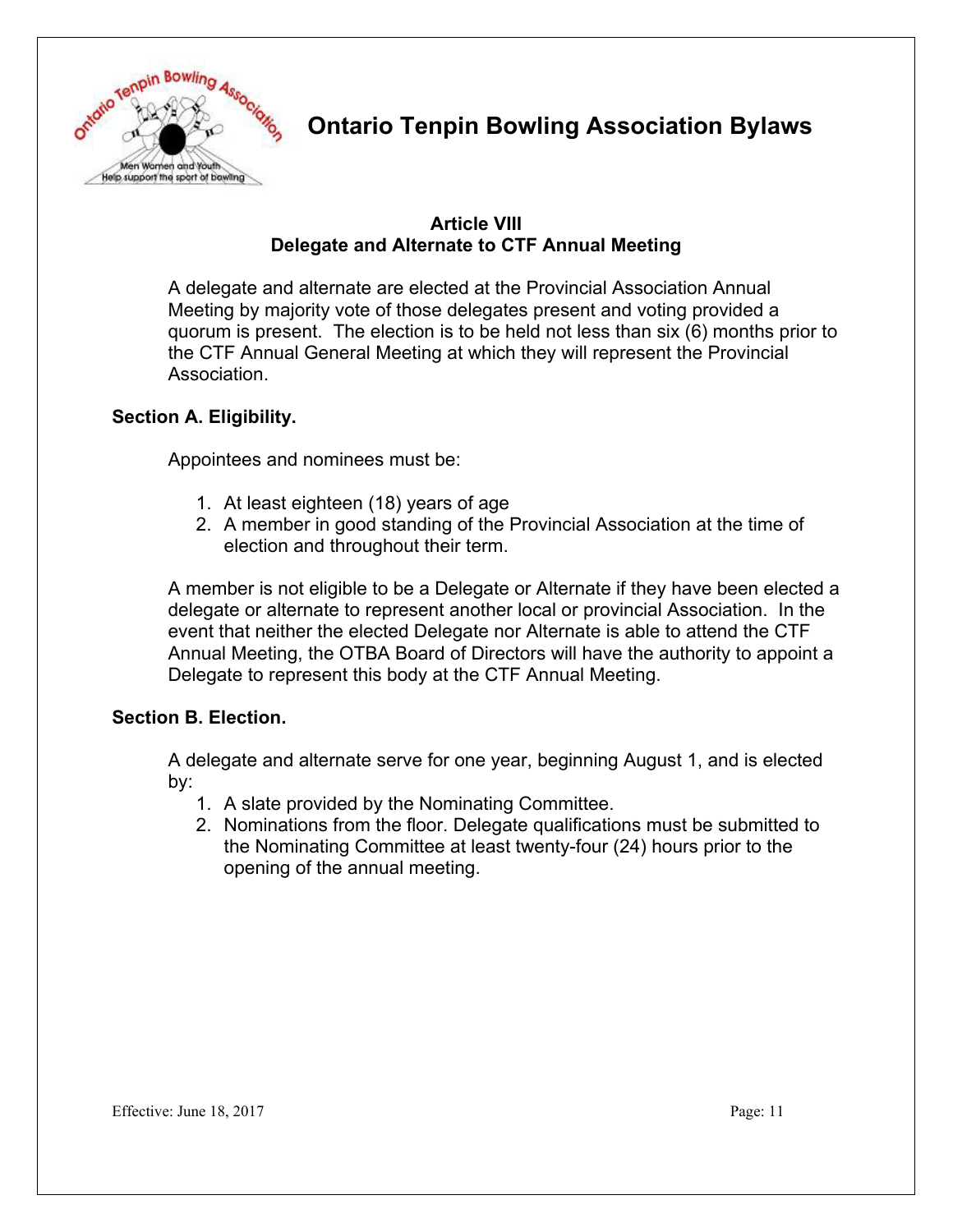

#### **Article VIII Delegate and Alternate to CTF Annual Meeting**

A delegate and alternate are elected at the Provincial Association Annual Meeting by majority vote of those delegates present and voting provided a quorum is present. The election is to be held not less than six (6) months prior to the CTF Annual General Meeting at which they will represent the Provincial Association.

## **Section A. Eligibility.**

Appointees and nominees must be:

- 1. At least eighteen (18) years of age
- 2. A member in good standing of the Provincial Association at the time of election and throughout their term.

A member is not eligible to be a Delegate or Alternate if they have been elected a delegate or alternate to represent another local or provincial Association. In the event that neither the elected Delegate nor Alternate is able to attend the CTF Annual Meeting, the OTBA Board of Directors will have the authority to appoint a Delegate to represent this body at the CTF Annual Meeting.

## **Section B. Election.**

A delegate and alternate serve for one year, beginning August 1, and is elected by:

- 1. A slate provided by the Nominating Committee.
- 2. Nominations from the floor. Delegate qualifications must be submitted to the Nominating Committee at least twenty-four (24) hours prior to the opening of the annual meeting.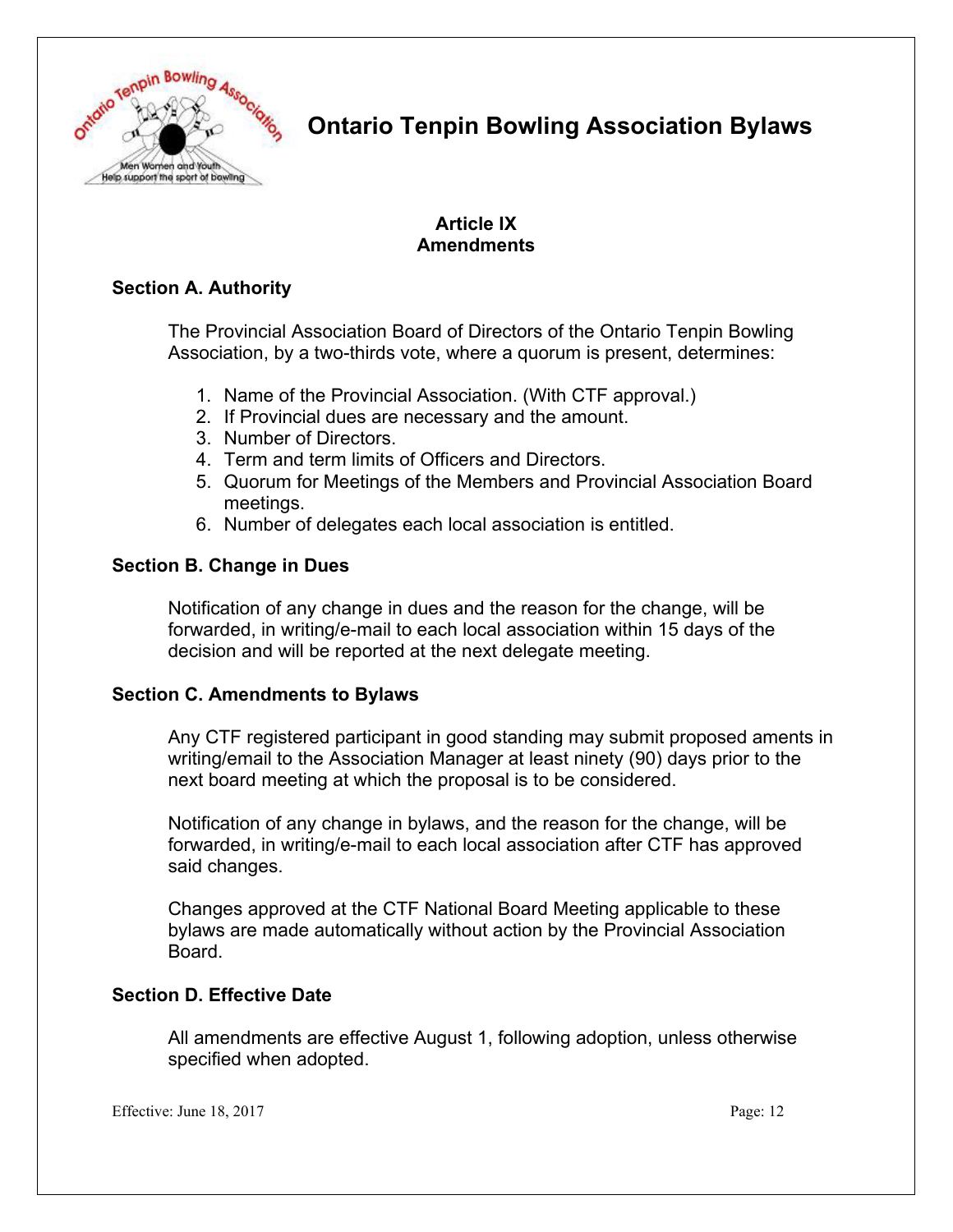

## **Article IX Amendments**

## **Section A. Authority**

The Provincial Association Board of Directors of the Ontario Tenpin Bowling Association, by a two-thirds vote, where a quorum is present, determines:

- 1. Name of the Provincial Association. (With CTF approval.)
- 2. If Provincial dues are necessary and the amount.
- 3. Number of Directors.
- 4. Term and term limits of Officers and Directors.
- 5. Quorum for Meetings of the Members and Provincial Association Board meetings.
- 6. Number of delegates each local association is entitled.

## **Section B. Change in Dues**

Notification of any change in dues and the reason for the change, will be forwarded, in writing/e-mail to each local association within 15 days of the decision and will be reported at the next delegate meeting.

#### **Section C. Amendments to Bylaws**

Any CTF registered participant in good standing may submit proposed aments in writing/email to the Association Manager at least ninety (90) days prior to the next board meeting at which the proposal is to be considered.

Notification of any change in bylaws, and the reason for the change, will be forwarded, in writing/e-mail to each local association after CTF has approved said changes.

Changes approved at the CTF National Board Meeting applicable to these bylaws are made automatically without action by the Provincial Association Board.

## **Section D. Effective Date**

All amendments are effective August 1, following adoption, unless otherwise specified when adopted.

Effective: June 18, 2017 Page: 12